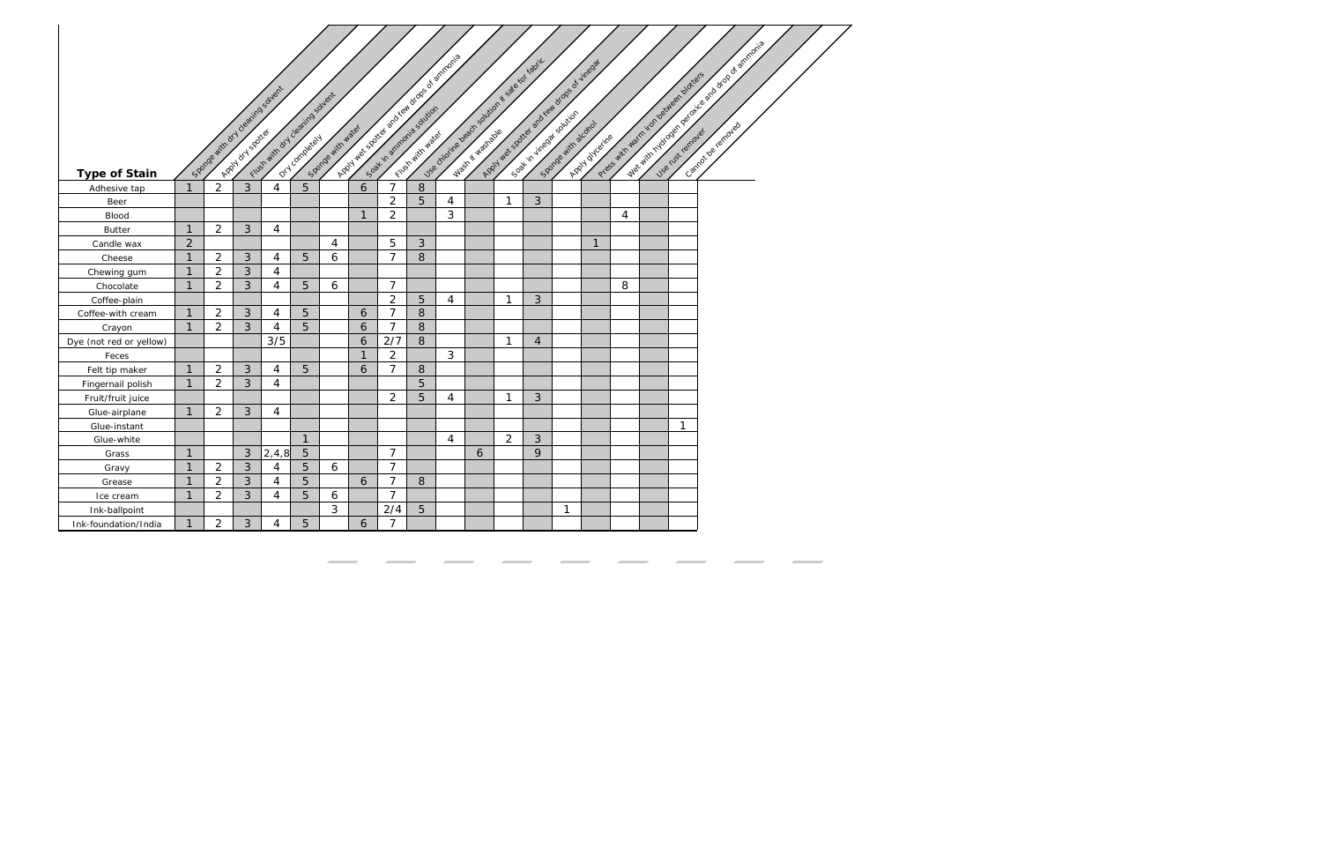|                         |                |                |                | Space with any cleaning solvent<br>Filippe with ory clearing sovert |                | Sports with water |              | Apply web spotted for dream of che of a minimal |              |                |   | Use childrene peach solution is see to restrict<br>Appy view spotted and real drops of vinegation |                |   | Apply of Carine |   | Press with warm you be diversion of these |              | Web with right of the production of ormands or a smooth |
|-------------------------|----------------|----------------|----------------|---------------------------------------------------------------------|----------------|-------------------|--------------|-------------------------------------------------|--------------|----------------|---|---------------------------------------------------------------------------------------------------|----------------|---|-----------------|---|-------------------------------------------|--------------|---------------------------------------------------------|
| <b>Type of Stain</b>    |                |                |                |                                                                     |                |                   |              |                                                 |              |                |   |                                                                                                   |                |   |                 |   |                                           |              |                                                         |
| Adhesive tap            | $\mathbf{1}$   | $\overline{2}$ | 3              | 4                                                                   | $\overline{5}$ |                   | 6            | 7                                               | 8            |                |   |                                                                                                   |                |   |                 |   |                                           |              |                                                         |
| Beer                    |                |                |                |                                                                     |                |                   |              | $\overline{2}$                                  | 5            | 4              |   | 1                                                                                                 | 3              |   |                 |   |                                           |              |                                                         |
| <b>Blood</b>            |                |                |                |                                                                     |                |                   | $\mathbf{1}$ | $\overline{2}$                                  |              | 3              |   |                                                                                                   |                |   |                 | 4 |                                           |              |                                                         |
| <b>Butter</b>           | $\mathbf{1}$   | $\overline{2}$ | 3              | 4                                                                   |                |                   |              |                                                 |              |                |   |                                                                                                   |                |   |                 |   |                                           |              |                                                         |
| Candle wax              | $\overline{2}$ |                |                |                                                                     |                | 4                 |              | 5                                               | $\mathbf{3}$ |                |   |                                                                                                   |                |   | $\mathbf{1}$    |   |                                           |              |                                                         |
| Cheese                  | $\mathbf{1}$   | $\overline{a}$ | $\mathfrak{Z}$ | $\overline{4}$                                                      | 5              | 6                 |              | $\overline{7}$                                  | 8            |                |   |                                                                                                   |                |   |                 |   |                                           |              |                                                         |
| Chewing gum             | $\mathbf{1}$   | $\overline{2}$ | 3              | 4                                                                   |                |                   |              |                                                 |              |                |   |                                                                                                   |                |   |                 |   |                                           |              |                                                         |
| Chocolate               | $\mathbf{1}$   | $\overline{2}$ | 3              | $\overline{4}$                                                      | 5              | 6                 |              | $\overline{7}$                                  |              |                |   |                                                                                                   |                |   |                 | 8 |                                           |              |                                                         |
| Coffee-plain            |                |                |                |                                                                     |                |                   |              | $\overline{2}$                                  | 5            | $\overline{4}$ |   | $\mathbf{1}$                                                                                      | 3              |   |                 |   |                                           |              |                                                         |
| Coffee-with cream       | $\mathbf{1}$   | $\overline{2}$ | $\mathfrak{Z}$ | 4                                                                   | 5              |                   | 6            | $\overline{7}$                                  | $8\,$        |                |   |                                                                                                   |                |   |                 |   |                                           |              |                                                         |
| Crayon                  | $\mathbf{1}$   | $\overline{2}$ | $\mathfrak{Z}$ | 4                                                                   | 5              |                   | 6            | $\overline{7}$                                  | 8            |                |   |                                                                                                   |                |   |                 |   |                                           |              |                                                         |
| Dye (not red or yellow) |                |                |                | 3/5                                                                 |                |                   | 6            | 2/7                                             | 8            |                |   | 1                                                                                                 | $\overline{4}$ |   |                 |   |                                           |              |                                                         |
| Feces                   |                |                |                |                                                                     |                |                   | $\mathbf{1}$ | $\overline{2}$                                  |              | 3              |   |                                                                                                   |                |   |                 |   |                                           |              |                                                         |
| Felt tip maker          | $\mathbf{1}$   | $\overline{2}$ | 3              | 4                                                                   | 5              |                   | 6            | $\overline{7}$                                  | 8            |                |   |                                                                                                   |                |   |                 |   |                                           |              |                                                         |
| Fingernail polish       | $\mathbf{1}$   | $\overline{2}$ | 3              | $\overline{4}$                                                      |                |                   |              |                                                 | 5            |                |   |                                                                                                   |                |   |                 |   |                                           |              |                                                         |
| Fruit/fruit juice       |                |                |                |                                                                     |                |                   |              | $\overline{2}$                                  | 5            | 4              |   | $\mathbf{1}$                                                                                      | 3              |   |                 |   |                                           |              |                                                         |
| Glue-airplane           | $\mathbf{1}$   | $\overline{2}$ | 3              | $\overline{4}$                                                      |                |                   |              |                                                 |              |                |   |                                                                                                   |                |   |                 |   |                                           |              |                                                         |
| Glue-instant            |                |                |                |                                                                     |                |                   |              |                                                 |              |                |   |                                                                                                   |                |   |                 |   |                                           | $\mathbf{1}$ |                                                         |
| Glue-white              |                |                |                |                                                                     | $\mathbf{1}$   |                   |              |                                                 |              | $\overline{4}$ |   | $\overline{2}$                                                                                    | 3              |   |                 |   |                                           |              |                                                         |
| Grass                   | $\mathbf{1}$   |                | 3              | 2, 4, 8                                                             | 5              |                   |              | $\overline{7}$                                  |              |                | 6 |                                                                                                   | 9              |   |                 |   |                                           |              |                                                         |
| Gravy                   | $\mathbf{1}$   | $\overline{2}$ | 3              | 4                                                                   | 5              | 6                 |              | $\overline{7}$                                  |              |                |   |                                                                                                   |                |   |                 |   |                                           |              |                                                         |
| Grease                  | $\mathbf{1}$   | $\overline{2}$ | 3              | 4                                                                   | 5              |                   | 6            | $\overline{7}$                                  | 8            |                |   |                                                                                                   |                |   |                 |   |                                           |              |                                                         |
| Ice cream               | $\mathbf{1}$   | $\overline{2}$ | 3              | 4                                                                   | 5              | 6                 |              | $\overline{7}$                                  |              |                |   |                                                                                                   |                |   |                 |   |                                           |              |                                                         |
| Ink-ballpoint           |                |                |                |                                                                     |                | $\mathbf{3}$      |              | 2/4                                             | 5            |                |   |                                                                                                   |                | 1 |                 |   |                                           |              |                                                         |
| Ink-foundation/India    | 1              | $\overline{2}$ | 3              | 4                                                                   | 5              |                   | 6            | 7                                               |              |                |   |                                                                                                   |                |   |                 |   |                                           |              |                                                         |

 $\sim$   $\sim$   $\sim$   $\sim$